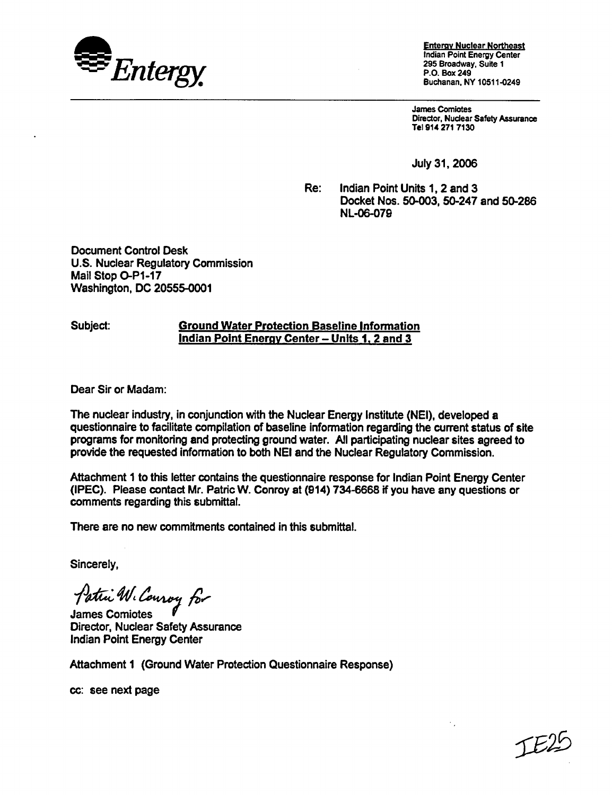

Enterav Nuclear Northeast Indian Point Energy Center Buchanan, NY 10511-0249

James Comlotes Director, Nuclear Safety Assurance Tel 914 271 7130

July 31, 2006

Re: Indian Point Units 1, 2 and 3 Docket Nos. 50-003, 50-247 and 50-286 NL-06-079

Document Control Desk U.S. Nuclear Regulatory Commission Mail Stop O-P1-17 Washington, DC 20555-0001

## Subject: Ground Water Protection Baseline Information Indian Point Energy Center - Units 1, 2 and 3

Dear Sir or Madam:

The nuclear industry, in conjunction with the Nuclear Energy Institute (NEI), developed a questionnaire to facilitate compilation of baseline information regarding the current status of site programs for monitoring and protecting ground water. All participating nuclear sites agreed to provide the requested information to both NEI and the Nuclear Regulatory Commission.

Attachment I to this letter contains the questionnaire response for Indian Point Energy Center (IPEC). Please contact Mr. Patric W. Conroy at (914) 734-6668 if you have any questions or comments regarding this submittal.

There are no new commitments contained in this submittal.

Sincerely,

Patri W. Courvy for

Director, Nuclear Safety Assurance Indian Point Energy Center

Attachment **I** (Ground Water Protection Questionnaire Response)

cc: see next page

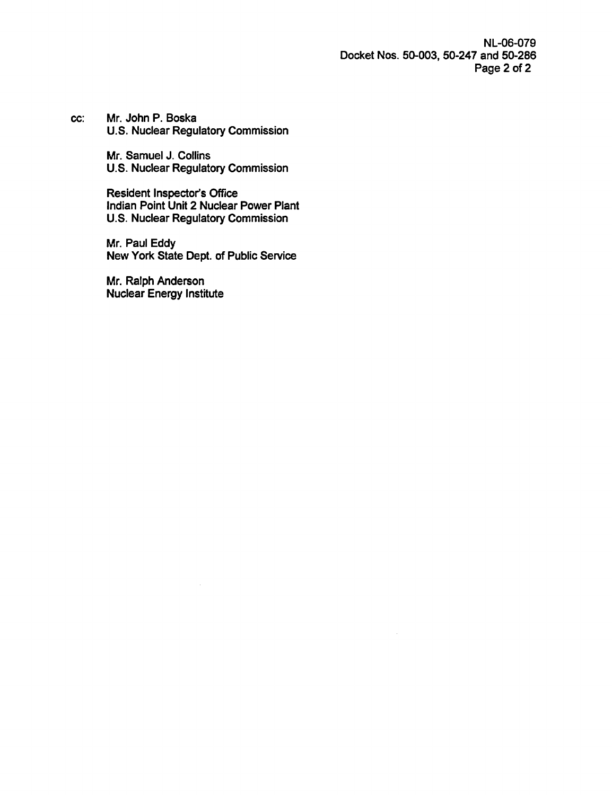NL-06-079 Docket Nos. 50-003, 50-247 and 50-286 Page 2 of 2

cc: Mr. John P. Boska U.S. Nuclear Regulatory Commission

> Mr. Samuel J. Collins U.S. Nuclear Regulatory Commission

Resident Inspector's Office Indian Point Unit 2 Nuclear Power Plant U.S. Nuclear Regulatory Commission

Mr. Paul Eddy New York State Dept. of Public Service

Mr. Ralph Anderson Nuclear Energy Institute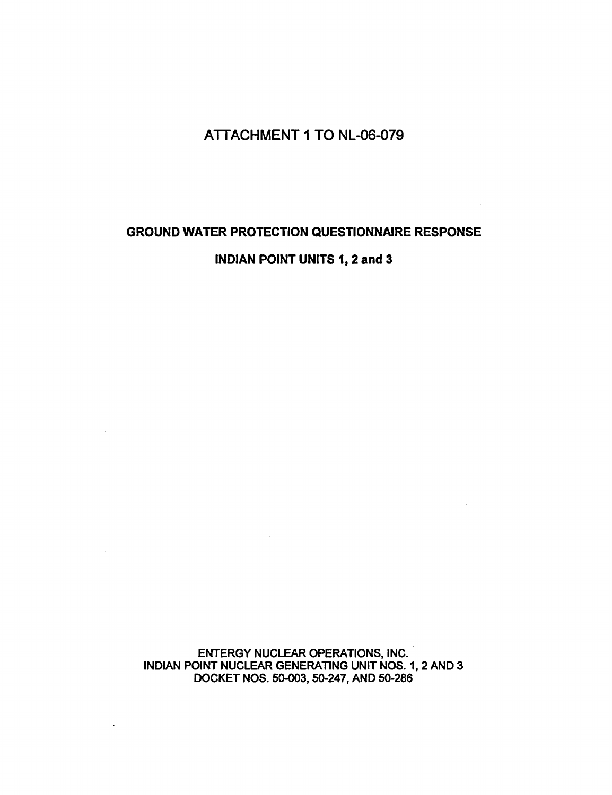## ATTACHMENT **1** TO NL-06-079

## GROUND WATER PROTECTION QUESTIONNAIRE RESPONSE INDIAN POINT UNITS 1, 2 and 3

 $\sim 100$ 

 $\sim$ 

ENTERGY NUCLEAR OPERATIONS, INC. INDIAN POINT NUCLEAR GENERATING UNIT NOS. 1, 2 AND 3 DOCKET NOS. 50-003, 50-247, AND 50-286

 $\sim 10^7$ 

 $\sim 10^{11}$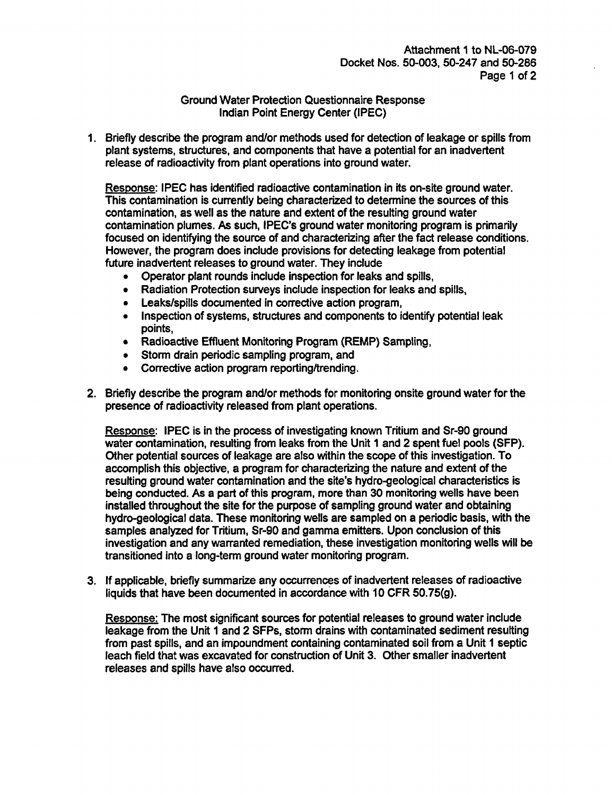Ground Water Protection Questionnaire Response Indian Point Energy Center (IPEC)

1. Briefly describe the program and/or methods used for detection of leakage or spills from plant systems, structures, and components that have a potential for an inadvertent release of radioactivity from plant operations into ground water.

Response: IPEC has identified radioactive contamination in its on-site ground water. This contamination is currently being characterized to determine the sources of this contamination, as well as the nature and extent of the resulting ground water contamination plumes. As such, IPEC's ground water monitoring program is primarily focused on identifying the source of and characterizing after the fact release conditions. However, the program does include provisions for detecting leakage from potential future inadvertent releases to ground water. They include

- \* Operator plant rounds include inspection for leaks and spills,
- \* Radiation Protection surveys include inspection for leaks and spills,
- \* Leaks/spills documented in corrective action program,
- \* Inspection of systems, structures and components to identify potential leak points,
- **"** Radioactive Effluent Monitoring Program (REMP) Sampling,
- **"** Storm drain periodic sampling program, and
- \* Corrective action program reporting/trending.
- 2. Briefly describe the program and/or methods for monitoring onsite ground water for the presence of radioactivity released from plant operations.

Response: IPEC is in the process of investigating known Tritium and Sr-90 ground water contamination, resulting from leaks from the Unit I and 2 spent fuel pools (SFP). Other potential sources of leakage are also within the scope of this investigation. To accomplish this objective, a program for characterizing the nature and extent of the resulting ground water contamination and the site's hydro-geological characteristics is being conducted. As a part of this program, more than 30 monitoring wells have been installed throughout the site for the purpose of sampling ground water and obtaining hydro-geological data. These monitoring wells are sampled on a periodic basis, with the samples analyzed for Tritium, Sr-90 and gamma emitters. Upon conclusion of this investigation and any warranted remediation, these investigation monitoring wells will be transitioned into a long-term ground water monitoring program.

3. If applicable, briefly summarize any occurrences of inadvertent releases of radioactive liquids that have been documented in accordance with 10 CFR 50.75(g).

Response: The most significant sources for potential releases to ground water include leakage from the Unit **1** and 2 SFPs, storm drains with contaminated sediment resulting from past spills, and an impoundment containing contaminated soil from a Unit **I** septic leach field that was excavated for construction of Unit 3. Other smaller inadvertent releases and spills have also occurred.